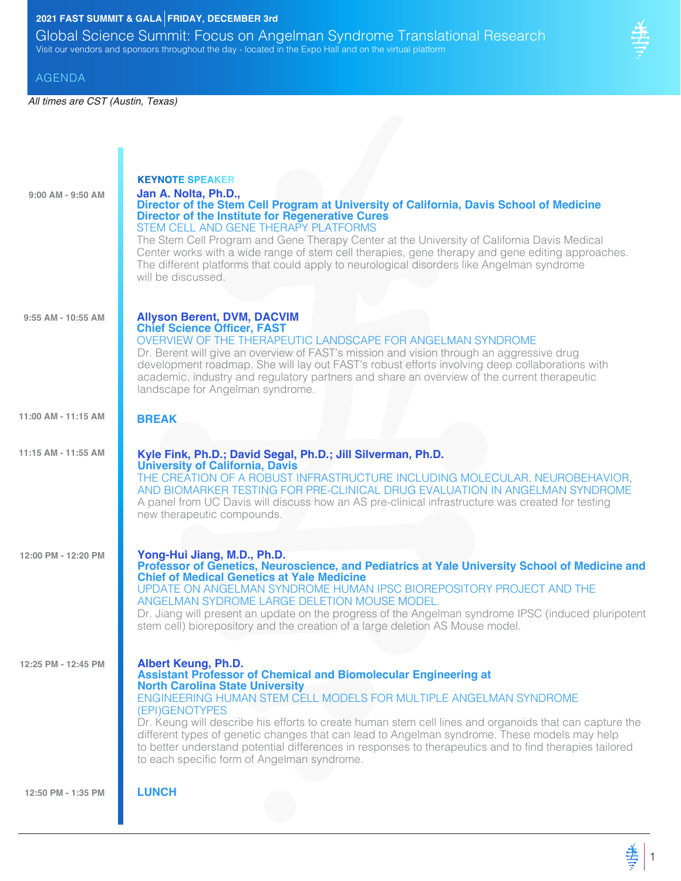## **2021 FAST SUMMIT & GALA FRIDAY, DECEMBER 3rd**

Global Science Summit: Focus on Angelman Syndrome Translational Research Visit our vendors and sponsors throughout the day - located in the Expo Hall and on the virtual platform

#### AGENDA

*All times are CST (Austin, Texas)*

п

| $9:00$ AM - $9:50$ AM | <b>KEYNOTE SPEAKER</b><br>Jan A. Nolta, Ph.D.,<br>Director of the Stem Cell Program at University of California, Davis School of Medicine<br><b>Director of the Institute for Regenerative Cures</b><br>STEM CELL AND GENE THERAPY PLATFORMS<br>The Stem Cell Program and Gene Therapy Center at the University of California Davis Medical<br>Center works with a wide range of stem cell therapies, gene therapy and gene editing approaches.<br>The different platforms that could apply to neurological disorders like Angelman syndrome<br>will be discussed.                                       |
|-----------------------|----------------------------------------------------------------------------------------------------------------------------------------------------------------------------------------------------------------------------------------------------------------------------------------------------------------------------------------------------------------------------------------------------------------------------------------------------------------------------------------------------------------------------------------------------------------------------------------------------------|
| 9:55 AM - 10:55 AM    | <b>Allyson Berent, DVM, DACVIM</b><br><b>Chief Science Officer, FAST</b><br>OVERVIEW OF THE THERAPEUTIC LANDSCAPE FOR ANGELMAN SYNDROME<br>Dr. Berent will give an overview of FAST's mission and vision through an aggressive drug<br>development roadmap. She will lay out FAST's robust efforts involving deep collaborations with<br>academic, industry and regulatory partners and share an overview of the current therapeutic<br>landscape for Angelman syndrome.                                                                                                                                 |
| 11:00 AM - 11:15 AM   | <b>BREAK</b>                                                                                                                                                                                                                                                                                                                                                                                                                                                                                                                                                                                             |
| 11:15 AM - 11:55 AM   | Kyle Fink, Ph.D.; David Segal, Ph.D.; Jill Silverman, Ph.D.<br><b>University of California, Davis</b><br>THE CREATION OF A ROBUST INFRASTRUCTURE INCLUDING MOLECULAR, NEUROBEHAVIOR,<br>AND BIOMARKER TESTING FOR PRE-CLINICAL DRUG EVALUATION IN ANGELMAN SYNDROME<br>A panel from UC Davis will discuss how an AS pre-clinical infrastructure was created for testing<br>new therapeutic compounds.                                                                                                                                                                                                    |
| 12:00 PM - 12:20 PM   | Yong-Hui Jiang, M.D., Ph.D.<br>Professor of Genetics, Neuroscience, and Pediatrics at Yale University School of Medicine and<br><b>Chief of Medical Genetics at Yale Medicine</b><br>UPDATE ON ANGELMAN SYNDROME HUMAN IPSC BIOREPOSITORY PROJECT AND THE<br>ANGELMAN SYDROME LARGE DELETION MOUSE MODEL.<br>Dr. Jiang will present an update on the progress of the Angelman syndrome IPSC (induced pluripotent<br>stem cell) biorepository and the creation of a large deletion AS Mouse model.                                                                                                        |
| 12:25 PM - 12:45 PM   | <b>Albert Keung, Ph.D.</b><br><b>Assistant Professor of Chemical and Biomolecular Engineering at</b><br><b>North Carolina State University</b><br>ENGINEERING HUMAN STEM CELL MODELS FOR MULTIPLE ANGELMAN SYNDROME<br>(EPI)GENOTYPES<br>Dr. Keung will describe his efforts to create human stem cell lines and organoids that can capture the<br>different types of genetic changes that can lead to Angelman syndrome. These models may help<br>to better understand potential differences in responses to therapeutics and to find therapies tailored<br>to each specific form of Angelman syndrome. |
| 12:50 PM - 1:35 PM    | <b>LUNCH</b>                                                                                                                                                                                                                                                                                                                                                                                                                                                                                                                                                                                             |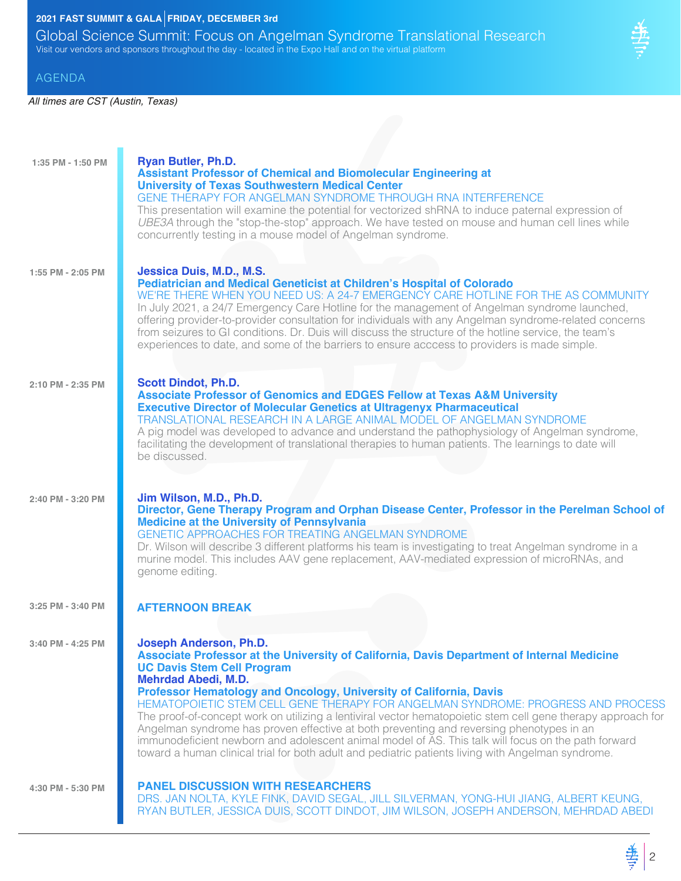## **2021 FAST SUMMIT & GALA FRIDAY, DECEMBER 3rd**

Global Science Summit: Focus on Angelman Syndrome Translational Research Visit our vendors and sponsors throughout the day - located in the Expo Hall and on the virtual platform

#### AGENDA

| $1:35$ PM - $1:50$ PM | <b>Ryan Butler, Ph.D.</b><br><b>Assistant Professor of Chemical and Biomolecular Engineering at</b><br><b>University of Texas Southwestern Medical Center</b><br>GENE THERAPY FOR ANGELMAN SYNDROME THROUGH RNA INTERFERENCE<br>This presentation will examine the potential for vectorized shRNA to induce paternal expression of<br>UBE3A through the "stop-the-stop" approach. We have tested on mouse and human cell lines while<br>concurrently testing in a mouse model of Angelman syndrome.                                                                                                                                                                                                                                                                        |
|-----------------------|----------------------------------------------------------------------------------------------------------------------------------------------------------------------------------------------------------------------------------------------------------------------------------------------------------------------------------------------------------------------------------------------------------------------------------------------------------------------------------------------------------------------------------------------------------------------------------------------------------------------------------------------------------------------------------------------------------------------------------------------------------------------------|
| 1:55 PM - 2:05 PM     | Jessica Duis, M.D., M.S.<br><b>Pediatrician and Medical Geneticist at Children's Hospital of Colorado</b><br>WE'RE THERE WHEN YOU NEED US: A 24-7 EMERGENCY CARE HOTLINE FOR THE AS COMMUNITY<br>In July 2021, a 24/7 Emergency Care Hotline for the management of Angelman syndrome launched,<br>offering provider-to-provider consultation for individuals with any Angelman syndrome-related concerns<br>from seizures to GI conditions. Dr. Duis will discuss the structure of the hotline service, the team's<br>experiences to date, and some of the barriers to ensure acccess to providers is made simple.                                                                                                                                                         |
| 2:10 PM - 2:35 PM     | <b>Scott Dindot, Ph.D.</b><br><b>Associate Professor of Genomics and EDGES Fellow at Texas A&amp;M University</b><br><b>Executive Director of Molecular Genetics at Ultragenyx Pharmaceutical</b><br>TRANSLATIONAL RESEARCH IN A LARGE ANIMAL MODEL OF ANGELMAN SYNDROME<br>A pig model was developed to advance and understand the pathophysiology of Angelman syndrome,<br>facilitating the development of translational therapies to human patients. The learnings to date will<br>be discussed.                                                                                                                                                                                                                                                                        |
| 2:40 PM - 3:20 PM     | Jim Wilson, M.D., Ph.D.<br>Director, Gene Therapy Program and Orphan Disease Center, Professor in the Perelman School of<br><b>Medicine at the University of Pennsylvania</b><br>GENETIC APPROACHES FOR TREATING ANGELMAN SYNDROME<br>Dr. Wilson will describe 3 different platforms his team is investigating to treat Angelman syndrome in a<br>murine model. This includes AAV gene replacement, AAV-mediated expression of microRNAs, and<br>genome editing.                                                                                                                                                                                                                                                                                                           |
| 3:25 PM - 3:40 PM     | <b>AFTERNOON BREAK</b>                                                                                                                                                                                                                                                                                                                                                                                                                                                                                                                                                                                                                                                                                                                                                     |
| 3:40 PM - 4:25 PM     | Joseph Anderson, Ph.D.<br>Associate Professor at the University of California, Davis Department of Internal Medicine<br><b>UC Davis Stem Cell Program</b><br><b>Mehrdad Abedi, M.D.</b><br>Professor Hematology and Oncology, University of California, Davis<br>HEMATOPOIETIC STEM CELL GENE THERAPY FOR ANGELMAN SYNDROME: PROGRESS AND PROCESS<br>The proof-of-concept work on utilizing a lentiviral vector hematopoietic stem cell gene therapy approach for<br>Angelman syndrome has proven effective at both preventing and reversing phenotypes in an<br>immunodeficient newborn and adolescent animal model of AS. This talk will focus on the path forward<br>toward a human clinical trial for both adult and pediatric patients living with Angelman syndrome. |
| 4:30 PM - 5:30 PM     | <b>PANEL DISCUSSION WITH RESEARCHERS</b><br>DRS. JAN NOLTA, KYLE FINK, DAVID SEGAL, JILL SILVERMAN, YONG-HUI JIANG, ALBERT KEUNG,<br>RYAN BUTLER, JESSICA DUIS, SCOTT DINDOT, JIM WILSON, JOSEPH ANDERSON, MEHRDAD ABEDI                                                                                                                                                                                                                                                                                                                                                                                                                                                                                                                                                   |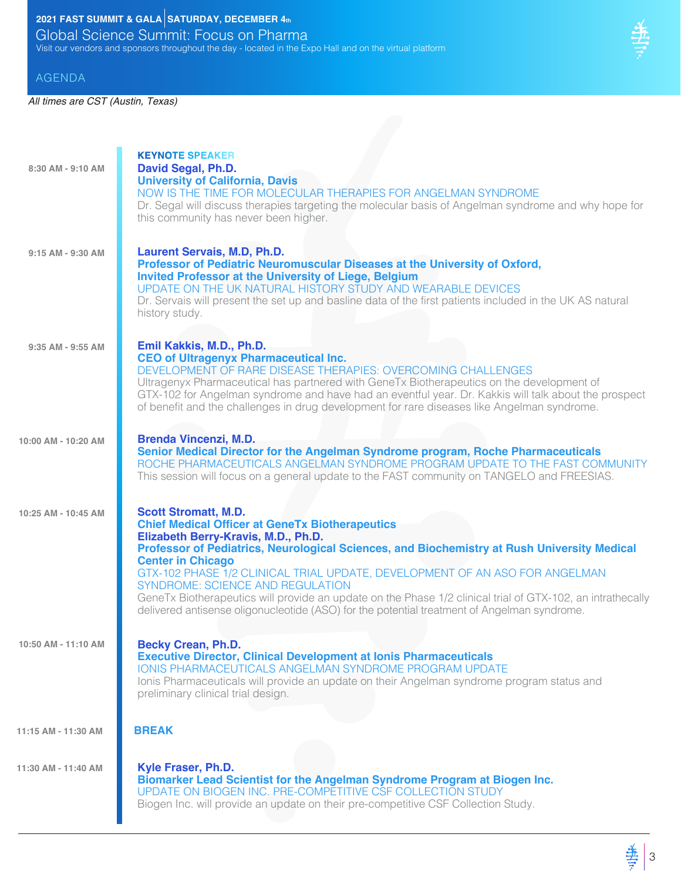# **2021 FAST SUMMIT & GALA SATURDAY, DECEMBER**  $4$ **th**

Global Science Summit: Focus on Pharma Visit our vendors and sponsors throughout the day - located in the Expo Hall and on the virtual platform

#### AGENDA

| 8:30 AM - 9:10 AM   | <b>KEYNOTE SPEAKER</b><br>David Segal, Ph.D.<br><b>University of California, Davis</b><br>NOW IS THE TIME FOR MOLECULAR THERAPIES FOR ANGELMAN SYNDROME<br>Dr. Segal will discuss therapies targeting the molecular basis of Angelman syndrome and why hope for<br>this community has never been higher.                                                                                                                                                                                                                                                                                       |
|---------------------|------------------------------------------------------------------------------------------------------------------------------------------------------------------------------------------------------------------------------------------------------------------------------------------------------------------------------------------------------------------------------------------------------------------------------------------------------------------------------------------------------------------------------------------------------------------------------------------------|
| 9:15 AM - 9:30 AM   | Laurent Servais, M.D, Ph.D.<br>Professor of Pediatric Neuromuscular Diseases at the University of Oxford,<br><b>Invited Professor at the University of Liege, Belgium</b><br>UPDATE ON THE UK NATURAL HISTORY STUDY AND WEARABLE DEVICES<br>Dr. Servais will present the set up and basline data of the first patients included in the UK AS natural<br>history study.                                                                                                                                                                                                                         |
| 9:35 AM - 9:55 AM   | Emil Kakkis, M.D., Ph.D.<br><b>CEO of Ultragenyx Pharmaceutical Inc.</b><br>DEVELOPMENT OF RARE DISEASE THERAPIES: OVERCOMING CHALLENGES<br>Ultragenyx Pharmaceutical has partnered with GeneTx Biotherapeutics on the development of<br>GTX-102 for Angelman syndrome and have had an eventful year. Dr. Kakkis will talk about the prospect<br>of benefit and the challenges in drug development for rare diseases like Angelman syndrome.                                                                                                                                                   |
| 10:00 AM - 10:20 AM | <b>Brenda Vincenzi, M.D.</b><br>Senior Medical Director for the Angelman Syndrome program, Roche Pharmaceuticals<br>ROCHE PHARMACEUTICALS ANGELMAN SYNDROME PROGRAM UPDATE TO THE FAST COMMUNITY<br>This session will focus on a general update to the FAST community on TANGELO and FREESIAS.                                                                                                                                                                                                                                                                                                 |
| 10:25 AM - 10:45 AM | <b>Scott Stromatt, M.D.</b><br><b>Chief Medical Officer at GeneTx Biotherapeutics</b><br>Elizabeth Berry-Kravis, M.D., Ph.D.<br>Professor of Pediatrics, Neurological Sciences, and Biochemistry at Rush University Medical<br><b>Center in Chicago</b><br>GTX-102 PHASE 1/2 CLINICAL TRIAL UPDATE, DEVELOPMENT OF AN ASO FOR ANGELMAN<br><b>SYNDROME: SCIENCE AND REGULATION</b><br>GeneTx Biotherapeutics will provide an update on the Phase 1/2 clinical trial of GTX-102, an intrathecally<br>delivered antisense oligonucleotide (ASO) for the potential treatment of Angelman syndrome. |
| 10:50 AM - 11:10 AM | <b>Becky Crean, Ph.D.</b><br><b>Executive Director, Clinical Development at Ionis Pharmaceuticals</b><br><b>IONIS PHARMACEUTICALS ANGELMAN SYNDROME PROGRAM UPDATE</b><br>Ionis Pharmaceuticals will provide an update on their Angelman syndrome program status and<br>preliminary clinical trial design.                                                                                                                                                                                                                                                                                     |
| 11:15 AM - 11:30 AM | <b>BREAK</b>                                                                                                                                                                                                                                                                                                                                                                                                                                                                                                                                                                                   |
| 11:30 AM - 11:40 AM | Kyle Fraser, Ph.D.<br>Biomarker Lead Scientist for the Angelman Syndrome Program at Biogen Inc.<br>UPDATE ON BIOGEN INC. PRE-COMPETITIVE CSF COLLECTION STUDY<br>Biogen Inc. will provide an update on their pre-competitive CSF Collection Study.                                                                                                                                                                                                                                                                                                                                             |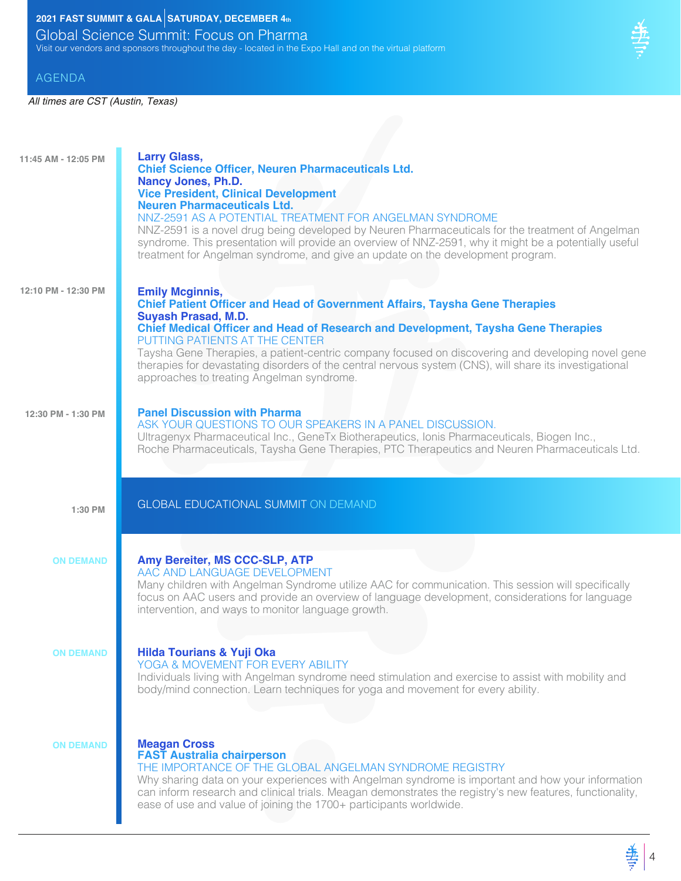# **2021 FAST SUMMIT & GALA SATURDAY, DECEMBER**  $4<sub>th</sub>$

Global Science Summit: Focus on Pharma Visit our vendors and sponsors throughout the day - located in the Expo Hall and on the virtual platform

#### AGENDA

| 11:45 AM - 12:05 PM | <b>Larry Glass,</b><br><b>Chief Science Officer, Neuren Pharmaceuticals Ltd.</b><br><b>Nancy Jones, Ph.D.</b><br><b>Vice President, Clinical Development</b><br><b>Neuren Pharmaceuticals Ltd.</b><br>NNZ-2591 AS A POTENTIAL TREATMENT FOR ANGELMAN SYNDROME<br>NNZ-2591 is a novel drug being developed by Neuren Pharmaceuticals for the treatment of Angelman<br>syndrome. This presentation will provide an overview of NNZ-2591, why it might be a potentially useful<br>treatment for Angelman syndrome, and give an update on the development program. |
|---------------------|----------------------------------------------------------------------------------------------------------------------------------------------------------------------------------------------------------------------------------------------------------------------------------------------------------------------------------------------------------------------------------------------------------------------------------------------------------------------------------------------------------------------------------------------------------------|
| 12:10 PM - 12:30 PM | <b>Emily Mcginnis,</b><br><b>Chief Patient Officer and Head of Government Affairs, Taysha Gene Therapies</b><br><b>Suyash Prasad, M.D.</b><br><b>Chief Medical Officer and Head of Research and Development, Taysha Gene Therapies</b><br>PUTTING PATIENTS AT THE CENTER<br>Taysha Gene Therapies, a patient-centric company focused on discovering and developing novel gene<br>therapies for devastating disorders of the central nervous system (CNS), will share its investigational<br>approaches to treating Angelman syndrome.                          |
| 12:30 PM - 1:30 PM  | <b>Panel Discussion with Pharma</b><br>ASK YOUR QUESTIONS TO OUR SPEAKERS IN A PANEL DISCUSSION.<br>Ultragenyx Pharmaceutical Inc., GeneTx Biotherapeutics, Ionis Pharmaceuticals, Biogen Inc.,<br>Roche Pharmaceuticals, Taysha Gene Therapies, PTC Therapeutics and Neuren Pharmaceuticals Ltd.                                                                                                                                                                                                                                                              |
| 1:30 PM             | <b>GLOBAL EDUCATIONAL SUMMIT ON DEMAND</b>                                                                                                                                                                                                                                                                                                                                                                                                                                                                                                                     |
| <b>ON DEMAND</b>    | Amy Bereiter, MS CCC-SLP, ATP<br>AAC AND LANGUAGE DEVELOPMENT<br>Many children with Angelman Syndrome utilize AAC for communication. This session will specifically<br>focus on AAC users and provide an overview of language development, considerations for language<br>intervention, and ways to monitor language growth.                                                                                                                                                                                                                                   |
| <b>ON DEMAND</b>    | <b>Hilda Tourians &amp; Yuji Oka</b><br>YOGA & MOVEMENT FOR EVERY ABILITY<br>Individuals living with Angelman syndrome need stimulation and exercise to assist with mobility and                                                                                                                                                                                                                                                                                                                                                                               |
|                     | body/mind connection. Learn techniques for yoga and movement for every ability.                                                                                                                                                                                                                                                                                                                                                                                                                                                                                |

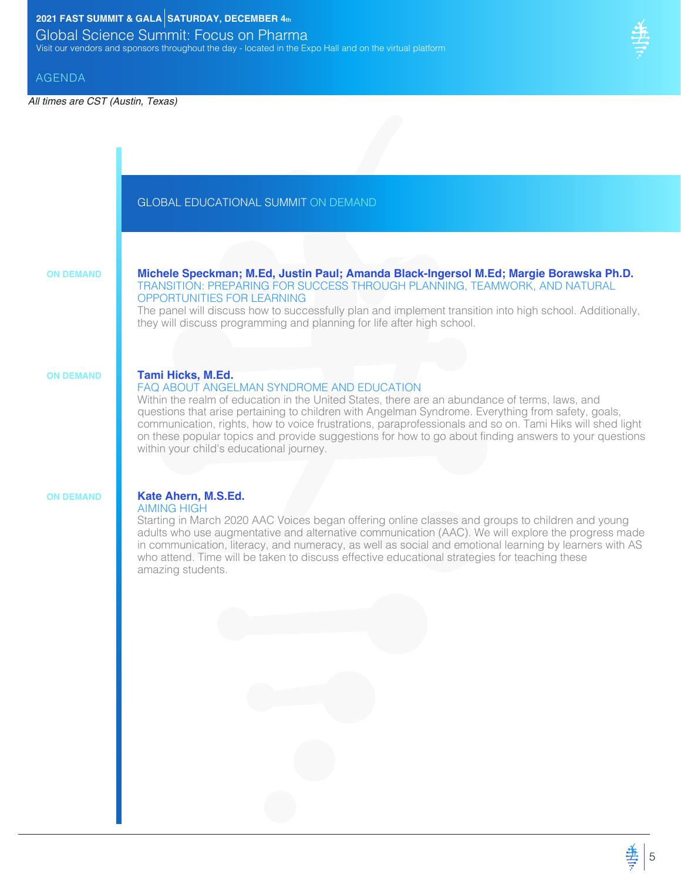### **2021 FAST SUMMIT & GALA SATURDAY, DECEMBER 4th**

Global Science Summit: Focus on Pharma Visit our vendors and sponsors throughout the day - located in the Expo Hall and on the virtual platform

#### AGENDA